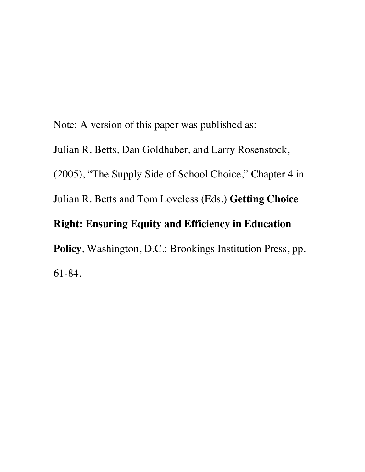Note: A version of this paper was published as: Julian R. Betts, Dan Goldhaber, and Larry Rosenstock, (2005), "The Supply Side of School Choice," Chapter 4 in Julian R. Betts and Tom Loveless (Eds.) **Getting Choice Right: Ensuring Equity and Efficiency in Education Policy**, Washington, D.C.: Brookings Institution Press, pp. 61-84.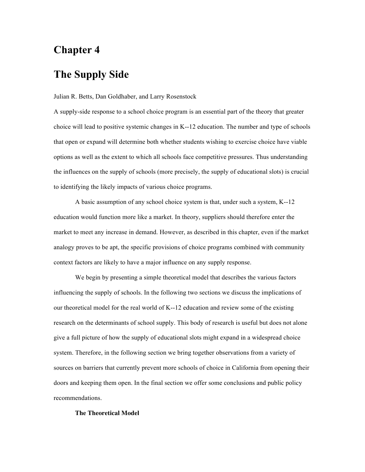# **Chapter 4**

# **The Supply Side**

Julian R. Betts, Dan Goldhaber, and Larry Rosenstock

A supply-side response to a school choice program is an essential part of the theory that greater choice will lead to positive systemic changes in K--12 education. The number and type of schools that open or expand will determine both whether students wishing to exercise choice have viable options as well as the extent to which all schools face competitive pressures. Thus understanding the influences on the supply of schools (more precisely, the supply of educational slots) is crucial to identifying the likely impacts of various choice programs.

A basic assumption of any school choice system is that, under such a system, K--12 education would function more like a market. In theory, suppliers should therefore enter the market to meet any increase in demand. However, as described in this chapter, even if the market analogy proves to be apt, the specific provisions of choice programs combined with community context factors are likely to have a major influence on any supply response.

We begin by presenting a simple theoretical model that describes the various factors influencing the supply of schools. In the following two sections we discuss the implications of our theoretical model for the real world of K--12 education and review some of the existing research on the determinants of school supply. This body of research is useful but does not alone give a full picture of how the supply of educational slots might expand in a widespread choice system. Therefore, in the following section we bring together observations from a variety of sources on barriers that currently prevent more schools of choice in California from opening their doors and keeping them open. In the final section we offer some conclusions and public policy recommendations.

## **The Theoretical Model**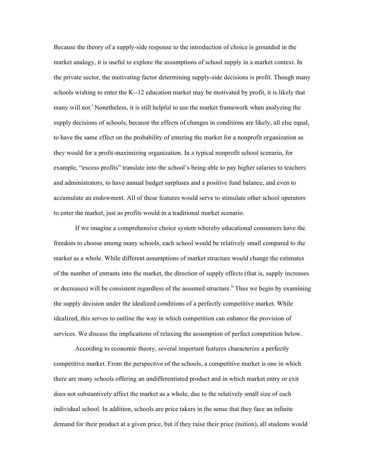Because the theory of a supply-side response to the introduction of choice is grounded in the market analogy, it is useful to explore the assumptions of school supply in a market context. In the private sector, the motivating factor determining supply-side decisions is profit. Though many schools wishing to enter the K--12 education market may be motivated by profit, it is likely that many will not.<sup>i</sup> Nonetheless, it is still helpful to use the market framework when analyzing the supply decisions of schools, because the effects of changes in conditions are likely, all else equal, to have the same effect on the probability of entering the market for a nonprofit organization as they would for a profit-maximizing organization. In a typical nonprofit school scenario, for example, "excess profits" translate into the school's being able to pay higher salaries to teachers and administrators, to have annual budget surpluses and a positive fund balance, and even to accumulate an endowment. All of these features would serve to stimulate other school operators to enter the market, just as profits would in a traditional market scenario.

If we imagine a comprehensive choice system whereby educational consumers have the freedom to choose among many schools, each school would be relatively small compared to the market as a whole. While different assumptions of market structure would change the estimates of the number of entrants into the market, the direction of supply effects (that is, supply increases or decreases) will be consistent regardless of the assumed structure.<sup>ii</sup> Thus we begin by examining the supply decision under the idealized conditions of a perfectly competitive market. While idealized, this serves to outline the way in which competition can enhance the provision of services. We discuss the implications of relaxing the assumption of perfect competition below.

According to economic theory, several important features characterize a perfectly competitive market. From the perspective of the schools, a competitive market is one in which there are many schools offering an undifferentiated product and in which market entry or exit does not substantively affect the market as a whole, due to the relatively small size of each individual school. In addition, schools are price takers in the sense that they face an infinite demand for their product at a given price, but if they raise their price (tuition), all students would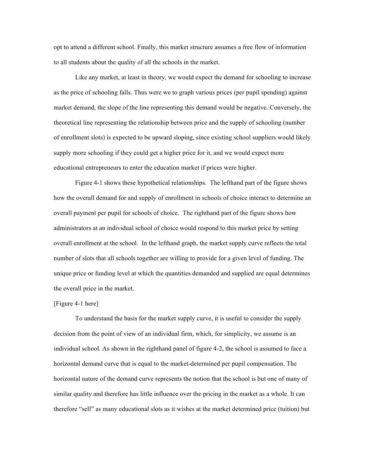opt to attend a different school. Finally, this market structure assumes a free flow of information to all students about the quality of all the schools in the market.

Like any market, at least in theory, we would expect the demand for schooling to increase as the price of schooling falls. Thus were we to graph various prices (per pupil spending) against market demand, the slope of the line representing this demand would be negative. Conversely, the theoretical line representing the relationship between price and the supply of schooling (number of enrollment slots) is expected to be upward sloping, since existing school suppliers would likely supply more schooling if they could get a higher price for it, and we would expect more educational entrepreneurs to enter the education market if prices were higher.

Figure 4-1 shows these hypothetical relationships. The lefthand part of the figure shows how the overall demand for and supply of enrollment in schools of choice interact to determine an overall payment per pupil for schools of choice. The righthand part of the figure shows how administrators at an individual school of choice would respond to this market price by setting overall enrollment at the school. In the lefthand graph, the market supply curve reflects the total number of slots that all schools together are willing to provide for a given level of funding. The unique price or funding level at which the quantities demanded and supplied are equal determines the overall price in the market.

## [Figure 4-1 here]

To understand the basis for the market supply curve, it is useful to consider the supply decision from the point of view of an individual firm, which, for simplicity, we assume is an individual school. As shown in the righthand panel of figure 4-2, the school is assumed to face a horizontal demand curve that is equal to the market-determined per pupil compensation. The horizontal nature of the demand curve represents the notion that the school is but one of many of similar quality and therefore has little influence over the pricing in the market as a whole. It can therefore "sell" as many educational slots as it wishes at the market determined price (tuition) but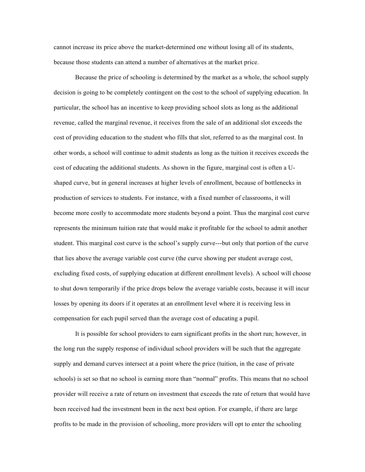cannot increase its price above the market-determined one without losing all of its students, because those students can attend a number of alternatives at the market price.

Because the price of schooling is determined by the market as a whole, the school supply decision is going to be completely contingent on the cost to the school of supplying education. In particular, the school has an incentive to keep providing school slots as long as the additional revenue, called the marginal revenue, it receives from the sale of an additional slot exceeds the cost of providing education to the student who fills that slot, referred to as the marginal cost. In other words, a school will continue to admit students as long as the tuition it receives exceeds the cost of educating the additional students. As shown in the figure, marginal cost is often a Ushaped curve, but in general increases at higher levels of enrollment, because of bottlenecks in production of services to students. For instance, with a fixed number of classrooms, it will become more costly to accommodate more students beyond a point. Thus the marginal cost curve represents the minimum tuition rate that would make it profitable for the school to admit another student. This marginal cost curve is the school's supply curve---but only that portion of the curve that lies above the average variable cost curve (the curve showing per student average cost, excluding fixed costs, of supplying education at different enrollment levels). A school will choose to shut down temporarily if the price drops below the average variable costs, because it will incur losses by opening its doors if it operates at an enrollment level where it is receiving less in compensation for each pupil served than the average cost of educating a pupil.

It is possible for school providers to earn significant profits in the short run; however, in the long run the supply response of individual school providers will be such that the aggregate supply and demand curves intersect at a point where the price (tuition, in the case of private schools) is set so that no school is earning more than "normal" profits. This means that no school provider will receive a rate of return on investment that exceeds the rate of return that would have been received had the investment been in the next best option. For example, if there are large profits to be made in the provision of schooling, more providers will opt to enter the schooling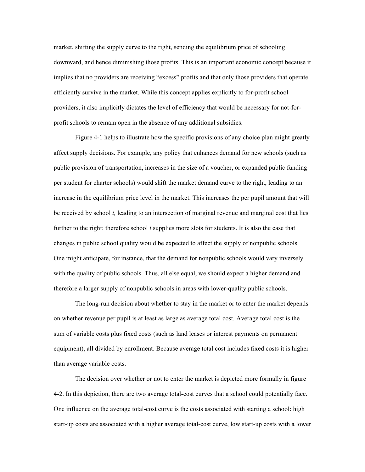market, shifting the supply curve to the right, sending the equilibrium price of schooling downward, and hence diminishing those profits. This is an important economic concept because it implies that no providers are receiving "excess" profits and that only those providers that operate efficiently survive in the market. While this concept applies explicitly to for-profit school providers, it also implicitly dictates the level of efficiency that would be necessary for not-forprofit schools to remain open in the absence of any additional subsidies.

Figure 4-1 helps to illustrate how the specific provisions of any choice plan might greatly affect supply decisions. For example, any policy that enhances demand for new schools (such as public provision of transportation, increases in the size of a voucher, or expanded public funding per student for charter schools) would shift the market demand curve to the right, leading to an increase in the equilibrium price level in the market. This increases the per pupil amount that will be received by school *i,* leading to an intersection of marginal revenue and marginal cost that lies further to the right; therefore school *i* supplies more slots for students. It is also the case that changes in public school quality would be expected to affect the supply of nonpublic schools. One might anticipate, for instance, that the demand for nonpublic schools would vary inversely with the quality of public schools. Thus, all else equal, we should expect a higher demand and therefore a larger supply of nonpublic schools in areas with lower-quality public schools.

The long-run decision about whether to stay in the market or to enter the market depends on whether revenue per pupil is at least as large as average total cost. Average total cost is the sum of variable costs plus fixed costs (such as land leases or interest payments on permanent equipment), all divided by enrollment. Because average total cost includes fixed costs it is higher than average variable costs.

The decision over whether or not to enter the market is depicted more formally in figure 4-2. In this depiction, there are two average total-cost curves that a school could potentially face. One influence on the average total-cost curve is the costs associated with starting a school: high start-up costs are associated with a higher average total-cost curve, low start-up costs with a lower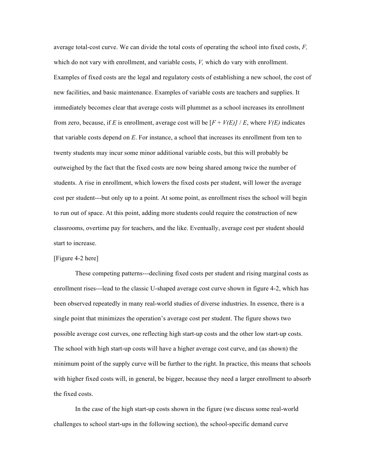average total-cost curve. We can divide the total costs of operating the school into fixed costs, *F,* which do not vary with enrollment, and variable costs, *V,* which do vary with enrollment. Examples of fixed costs are the legal and regulatory costs of establishing a new school, the cost of new facilities, and basic maintenance. Examples of variable costs are teachers and supplies. It immediately becomes clear that average costs will plummet as a school increases its enrollment from zero, because, if *E* is enrollment, average cost will be [*F* + *V(E)]* / *E*, where *V(E)* indicates that variable costs depend on *E*. For instance, a school that increases its enrollment from ten to twenty students may incur some minor additional variable costs, but this will probably be outweighed by the fact that the fixed costs are now being shared among twice the number of students. A rise in enrollment, which lowers the fixed costs per student, will lower the average cost per student---but only up to a point. At some point, as enrollment rises the school will begin to run out of space. At this point, adding more students could require the construction of new classrooms, overtime pay for teachers, and the like. Eventually, average cost per student should start to increase.

# [Figure 4-2 here]

These competing patterns---declining fixed costs per student and rising marginal costs as enrollment rises---lead to the classic U-shaped average cost curve shown in figure 4-2, which has been observed repeatedly in many real-world studies of diverse industries. In essence, there is a single point that minimizes the operation's average cost per student. The figure shows two possible average cost curves, one reflecting high start-up costs and the other low start-up costs. The school with high start-up costs will have a higher average cost curve, and (as shown) the minimum point of the supply curve will be further to the right. In practice, this means that schools with higher fixed costs will, in general, be bigger, because they need a larger enrollment to absorb the fixed costs.

In the case of the high start-up costs shown in the figure (we discuss some real-world challenges to school start-ups in the following section), the school-specific demand curve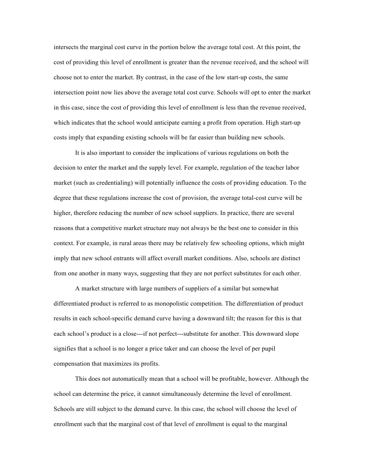intersects the marginal cost curve in the portion below the average total cost. At this point, the cost of providing this level of enrollment is greater than the revenue received, and the school will choose not to enter the market. By contrast, in the case of the low start-up costs, the same intersection point now lies above the average total cost curve. Schools will opt to enter the market in this case, since the cost of providing this level of enrollment is less than the revenue received, which indicates that the school would anticipate earning a profit from operation. High start-up costs imply that expanding existing schools will be far easier than building new schools.

It is also important to consider the implications of various regulations on both the decision to enter the market and the supply level. For example, regulation of the teacher labor market (such as credentialing) will potentially influence the costs of providing education. To the degree that these regulations increase the cost of provision, the average total-cost curve will be higher, therefore reducing the number of new school suppliers. In practice, there are several reasons that a competitive market structure may not always be the best one to consider in this context. For example, in rural areas there may be relatively few schooling options, which might imply that new school entrants will affect overall market conditions. Also, schools are distinct from one another in many ways, suggesting that they are not perfect substitutes for each other.

A market structure with large numbers of suppliers of a similar but somewhat differentiated product is referred to as monopolistic competition. The differentiation of product results in each school-specific demand curve having a downward tilt; the reason for this is that each school's product is a close---if not perfect---substitute for another. This downward slope signifies that a school is no longer a price taker and can choose the level of per pupil compensation that maximizes its profits.

This does not automatically mean that a school will be profitable, however. Although the school can determine the price, it cannot simultaneously determine the level of enrollment. Schools are still subject to the demand curve. In this case, the school will choose the level of enrollment such that the marginal cost of that level of enrollment is equal to the marginal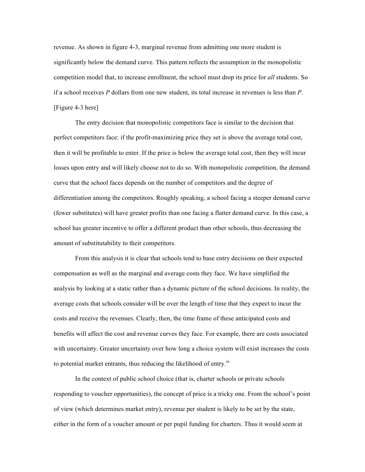revenue. As shown in figure 4-3, marginal revenue from admitting one more student is significantly below the demand curve. This pattern reflects the assumption in the monopolistic competition model that, to increase enrollment, the school must drop its price for *all* students. So if a school receives *P* dollars from one new student, its total increase in revenues is less than *P*. [Figure 4-3 here]

The entry decision that monopolistic competitors face is similar to the decision that perfect competitors face: if the profit-maximizing price they set is above the average total cost, then it will be profitable to enter. If the price is below the average total cost, then they will incur losses upon entry and will likely choose not to do so. With monopolistic competition, the demand curve that the school faces depends on the number of competitors and the degree of differentiation among the competitors. Roughly speaking, a school facing a steeper demand curve (fewer substitutes) will have greater profits than one facing a flatter demand curve. In this case, a school has greater incentive to offer a different product than other schools, thus decreasing the amount of substitutability to their competitors.

From this analysis it is clear that schools tend to base entry decisions on their expected compensation as well as the marginal and average costs they face. We have simplified the analysis by looking at a static rather than a dynamic picture of the school decisions. In reality, the average costs that schools consider will be over the length of time that they expect to incur the costs and receive the revenues. Clearly, then, the time frame of these anticipated costs and benefits will affect the cost and revenue curves they face. For example, there are costs associated with uncertainty. Greater uncertainty over how long a choice system will exist increases the costs to potential market entrants, thus reducing the likelihood of entry.<sup>iii</sup>

In the context of public school choice (that is, charter schools or private schools responding to voucher opportunities), the concept of price is a tricky one. From the school's point of view (which determines market entry), revenue per student is likely to be set by the state, either in the form of a voucher amount or per pupil funding for charters. Thus it would seem at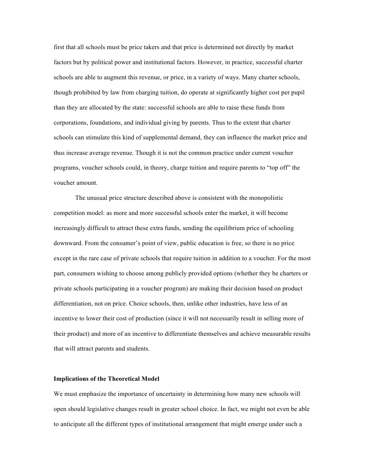first that all schools must be price takers and that price is determined not directly by market factors but by political power and institutional factors. However, in practice, successful charter schools are able to augment this revenue, or price, in a variety of ways. Many charter schools, though prohibited by law from charging tuition, do operate at significantly higher cost per pupil than they are allocated by the state: successful schools are able to raise these funds from corporations, foundations, and individual giving by parents. Thus to the extent that charter schools can stimulate this kind of supplemental demand, they can influence the market price and thus increase average revenue. Though it is not the common practice under current voucher programs, voucher schools could, in theory, charge tuition and require parents to "top off" the voucher amount.

The unusual price structure described above is consistent with the monopolistic competition model: as more and more successful schools enter the market, it will become increasingly difficult to attract these extra funds, sending the equilibrium price of schooling downward. From the consumer's point of view, public education is free, so there is no price except in the rare case of private schools that require tuition in addition to a voucher. For the most part, consumers wishing to choose among publicly provided options (whether they be charters or private schools participating in a voucher program) are making their decision based on product differentiation, not on price. Choice schools, then, unlike other industries, have less of an incentive to lower their cost of production (since it will not necessarily result in selling more of their product) and more of an incentive to differentiate themselves and achieve measurable results that will attract parents and students.

#### **Implications of the Theoretical Model**

We must emphasize the importance of uncertainty in determining how many new schools will open should legislative changes result in greater school choice. In fact, we might not even be able to anticipate all the different types of institutional arrangement that might emerge under such a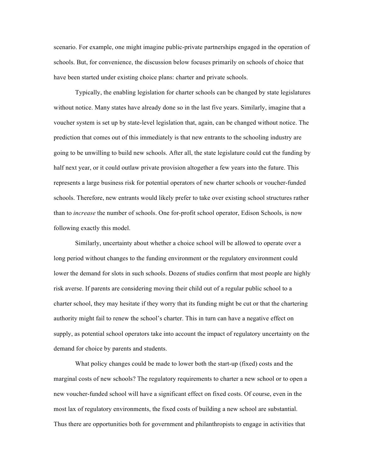scenario. For example, one might imagine public-private partnerships engaged in the operation of schools. But, for convenience, the discussion below focuses primarily on schools of choice that have been started under existing choice plans: charter and private schools.

Typically, the enabling legislation for charter schools can be changed by state legislatures without notice. Many states have already done so in the last five years. Similarly, imagine that a voucher system is set up by state-level legislation that, again, can be changed without notice. The prediction that comes out of this immediately is that new entrants to the schooling industry are going to be unwilling to build new schools. After all, the state legislature could cut the funding by half next year, or it could outlaw private provision altogether a few years into the future. This represents a large business risk for potential operators of new charter schools or voucher-funded schools. Therefore, new entrants would likely prefer to take over existing school structures rather than to *increase* the number of schools. One for-profit school operator, Edison Schools, is now following exactly this model.

Similarly, uncertainty about whether a choice school will be allowed to operate over a long period without changes to the funding environment or the regulatory environment could lower the demand for slots in such schools. Dozens of studies confirm that most people are highly risk averse. If parents are considering moving their child out of a regular public school to a charter school, they may hesitate if they worry that its funding might be cut or that the chartering authority might fail to renew the school's charter. This in turn can have a negative effect on supply, as potential school operators take into account the impact of regulatory uncertainty on the demand for choice by parents and students.

What policy changes could be made to lower both the start-up (fixed) costs and the marginal costs of new schools? The regulatory requirements to charter a new school or to open a new voucher-funded school will have a significant effect on fixed costs. Of course, even in the most lax of regulatory environments, the fixed costs of building a new school are substantial. Thus there are opportunities both for government and philanthropists to engage in activities that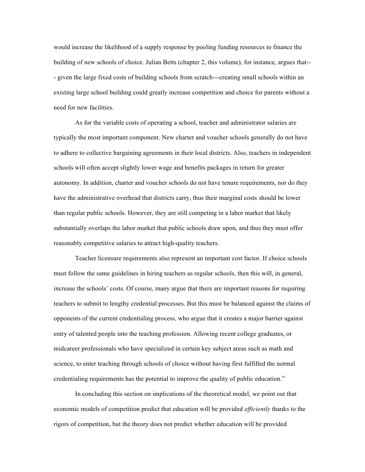would increase the likelihood of a supply response by pooling funding resources to finance the building of new schools of choice. Julian Betts (chapter 2, this volume), for instance, argues that-- - given the large fixed costs of building schools from scratch---creating small schools within an existing large school building could greatly increase competition and choice for parents without a need for new facilities.

As for the variable costs of operating a school, teacher and administrator salaries are typically the most important component. New charter and voucher schools generally do not have to adhere to collective bargaining agreements in their local districts. Also, teachers in independent schools will often accept slightly lower wage and benefits packages in return for greater autonomy. In addition, charter and voucher schools do not have tenure requirements, nor do they have the administrative overhead that districts carry, thus their marginal costs should be lower than regular public schools. However, they are still competing in a labor market that likely substantially overlaps the labor market that public schools draw upon, and thus they must offer reasonably competitive salaries to attract high-quality teachers.

Teacher licensure requirements also represent an important cost factor. If choice schools must follow the same guidelines in hiring teachers as regular schools, then this will, in general, increase the schools' costs. Of course, many argue that there are important reasons for requiring teachers to submit to lengthy credential processes. But this must be balanced against the claims of opponents of the current credentialing process, who argue that it creates a major barrier against entry of talented people into the teaching profession. Allowing recent college graduates, or midcareer professionals who have specialized in certain key subject areas such as math and science, to enter teaching through schools of choice without having first fulfilled the normal credentialing requirements has the potential to improve the quality of public education.<sup>iv</sup>

In concluding this section on implications of the theoretical model, we point out that economic models of competition predict that education will be provided *efficiently* thanks to the rigors of competition, but the theory does not predict whether education will be provided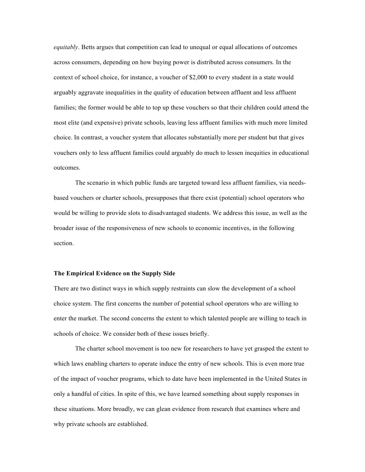*equitably*. Betts argues that competition can lead to unequal or equal allocations of outcomes across consumers, depending on how buying power is distributed across consumers. In the context of school choice, for instance, a voucher of \$2,000 to every student in a state would arguably aggravate inequalities in the quality of education between affluent and less affluent families; the former would be able to top up these vouchers so that their children could attend the most elite (and expensive) private schools, leaving less affluent families with much more limited choice. In contrast, a voucher system that allocates substantially more per student but that gives vouchers only to less affluent families could arguably do much to lessen inequities in educational outcomes.

The scenario in which public funds are targeted toward less affluent families, via needsbased vouchers or charter schools, presupposes that there exist (potential) school operators who would be willing to provide slots to disadvantaged students. We address this issue, as well as the broader issue of the responsiveness of new schools to economic incentives, in the following section.

#### **The Empirical Evidence on the Supply Side**

There are two distinct ways in which supply restraints can slow the development of a school choice system. The first concerns the number of potential school operators who are willing to enter the market. The second concerns the extent to which talented people are willing to teach in schools of choice. We consider both of these issues briefly.

The charter school movement is too new for researchers to have yet grasped the extent to which laws enabling charters to operate induce the entry of new schools. This is even more true of the impact of voucher programs, which to date have been implemented in the United States in only a handful of cities. In spite of this, we have learned something about supply responses in these situations. More broadly, we can glean evidence from research that examines where and why private schools are established.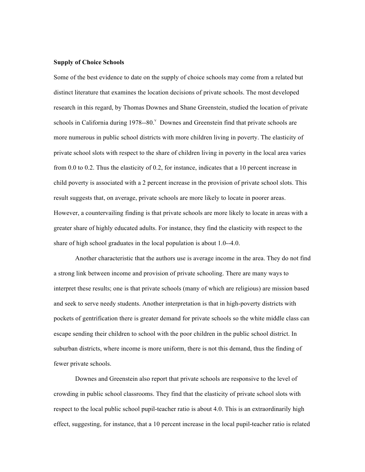#### **Supply of Choice Schools**

Some of the best evidence to date on the supply of choice schools may come from a related but distinct literature that examines the location decisions of private schools. The most developed research in this regard, by Thomas Downes and Shane Greenstein, studied the location of private schools in California during  $1978--80$ . Downes and Greenstein find that private schools are more numerous in public school districts with more children living in poverty. The elasticity of private school slots with respect to the share of children living in poverty in the local area varies from 0.0 to 0.2. Thus the elasticity of 0.2, for instance, indicates that a 10 percent increase in child poverty is associated with a 2 percent increase in the provision of private school slots. This result suggests that, on average, private schools are more likely to locate in poorer areas. However, a countervailing finding is that private schools are more likely to locate in areas with a greater share of highly educated adults. For instance, they find the elasticity with respect to the share of high school graduates in the local population is about 1.0--4.0.

Another characteristic that the authors use is average income in the area. They do not find a strong link between income and provision of private schooling. There are many ways to interpret these results; one is that private schools (many of which are religious) are mission based and seek to serve needy students. Another interpretation is that in high-poverty districts with pockets of gentrification there is greater demand for private schools so the white middle class can escape sending their children to school with the poor children in the public school district. In suburban districts, where income is more uniform, there is not this demand, thus the finding of fewer private schools.

Downes and Greenstein also report that private schools are responsive to the level of crowding in public school classrooms. They find that the elasticity of private school slots with respect to the local public school pupil-teacher ratio is about 4.0. This is an extraordinarily high effect, suggesting, for instance, that a 10 percent increase in the local pupil-teacher ratio is related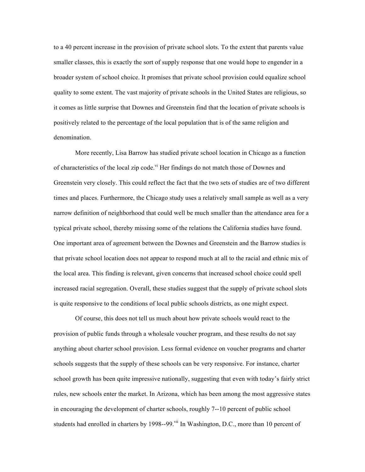to a 40 percent increase in the provision of private school slots. To the extent that parents value smaller classes, this is exactly the sort of supply response that one would hope to engender in a broader system of school choice. It promises that private school provision could equalize school quality to some extent. The vast majority of private schools in the United States are religious, so it comes as little surprise that Downes and Greenstein find that the location of private schools is positively related to the percentage of the local population that is of the same religion and denomination.

More recently, Lisa Barrow has studied private school location in Chicago as a function of characteristics of the local zip code.<sup>vi</sup> Her findings do not match those of Downes and Greenstein very closely. This could reflect the fact that the two sets of studies are of two different times and places. Furthermore, the Chicago study uses a relatively small sample as well as a very narrow definition of neighborhood that could well be much smaller than the attendance area for a typical private school, thereby missing some of the relations the California studies have found. One important area of agreement between the Downes and Greenstein and the Barrow studies is that private school location does not appear to respond much at all to the racial and ethnic mix of the local area. This finding is relevant, given concerns that increased school choice could spell increased racial segregation. Overall, these studies suggest that the supply of private school slots is quite responsive to the conditions of local public schools districts, as one might expect.

Of course, this does not tell us much about how private schools would react to the provision of public funds through a wholesale voucher program, and these results do not say anything about charter school provision. Less formal evidence on voucher programs and charter schools suggests that the supply of these schools can be very responsive. For instance, charter school growth has been quite impressive nationally, suggesting that even with today's fairly strict rules, new schools enter the market. In Arizona, which has been among the most aggressive states in encouraging the development of charter schools, roughly 7--10 percent of public school students had enrolled in charters by 1998--99.<sup>vii</sup> In Washington, D.C., more than 10 percent of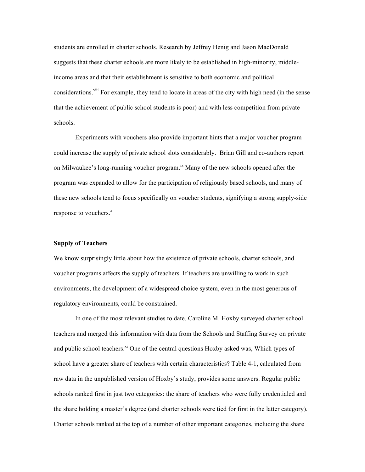students are enrolled in charter schools. Research by Jeffrey Henig and Jason MacDonald suggests that these charter schools are more likely to be established in high-minority, middleincome areas and that their establishment is sensitive to both economic and political considerations.<sup>viii</sup> For example, they tend to locate in areas of the city with high need (in the sense that the achievement of public school students is poor) and with less competition from private schools.

Experiments with vouchers also provide important hints that a major voucher program could increase the supply of private school slots considerably. Brian Gill and co-authors report on Milwaukee's long-running voucher program.<sup>ix</sup> Many of the new schools opened after the program was expanded to allow for the participation of religiously based schools, and many of these new schools tend to focus specifically on voucher students, signifying a strong supply-side response to vouchers. $x^x$ 

# **Supply of Teachers**

We know surprisingly little about how the existence of private schools, charter schools, and voucher programs affects the supply of teachers. If teachers are unwilling to work in such environments, the development of a widespread choice system, even in the most generous of regulatory environments, could be constrained.

In one of the most relevant studies to date, Caroline M. Hoxby surveyed charter school teachers and merged this information with data from the Schools and Staffing Survey on private and public school teachers. $x^i$  One of the central questions Hoxby asked was, Which types of school have a greater share of teachers with certain characteristics? Table 4-1, calculated from raw data in the unpublished version of Hoxby's study, provides some answers. Regular public schools ranked first in just two categories: the share of teachers who were fully credentialed and the share holding a master's degree (and charter schools were tied for first in the latter category). Charter schools ranked at the top of a number of other important categories, including the share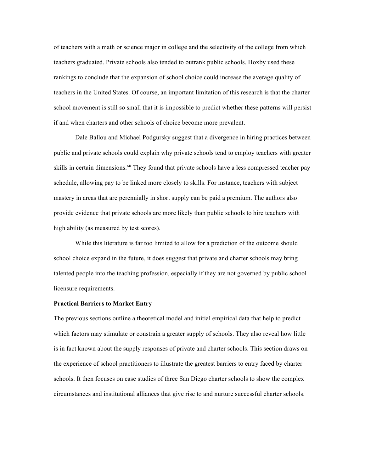of teachers with a math or science major in college and the selectivity of the college from which teachers graduated. Private schools also tended to outrank public schools. Hoxby used these rankings to conclude that the expansion of school choice could increase the average quality of teachers in the United States. Of course, an important limitation of this research is that the charter school movement is still so small that it is impossible to predict whether these patterns will persist if and when charters and other schools of choice become more prevalent.

Dale Ballou and Michael Podgursky suggest that a divergence in hiring practices between public and private schools could explain why private schools tend to employ teachers with greater skills in certain dimensions.<sup>xii</sup> They found that private schools have a less compressed teacher pay schedule, allowing pay to be linked more closely to skills. For instance, teachers with subject mastery in areas that are perennially in short supply can be paid a premium. The authors also provide evidence that private schools are more likely than public schools to hire teachers with high ability (as measured by test scores).

While this literature is far too limited to allow for a prediction of the outcome should school choice expand in the future, it does suggest that private and charter schools may bring talented people into the teaching profession, especially if they are not governed by public school licensure requirements.

## **Practical Barriers to Market Entry**

The previous sections outline a theoretical model and initial empirical data that help to predict which factors may stimulate or constrain a greater supply of schools. They also reveal how little is in fact known about the supply responses of private and charter schools. This section draws on the experience of school practitioners to illustrate the greatest barriers to entry faced by charter schools. It then focuses on case studies of three San Diego charter schools to show the complex circumstances and institutional alliances that give rise to and nurture successful charter schools.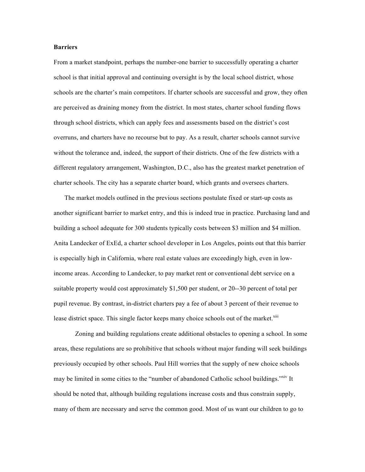#### **Barriers**

From a market standpoint, perhaps the number-one barrier to successfully operating a charter school is that initial approval and continuing oversight is by the local school district, whose schools are the charter's main competitors. If charter schools are successful and grow, they often are perceived as draining money from the district. In most states, charter school funding flows through school districts, which can apply fees and assessments based on the district's cost overruns, and charters have no recourse but to pay. As a result, charter schools cannot survive without the tolerance and, indeed, the support of their districts. One of the few districts with a different regulatory arrangement, Washington, D.C., also has the greatest market penetration of charter schools. The city has a separate charter board, which grants and oversees charters.

The market models outlined in the previous sections postulate fixed or start-up costs as another significant barrier to market entry, and this is indeed true in practice. Purchasing land and building a school adequate for 300 students typically costs between \$3 million and \$4 million. Anita Landecker of ExEd, a charter school developer in Los Angeles, points out that this barrier is especially high in California, where real estate values are exceedingly high, even in lowincome areas. According to Landecker, to pay market rent or conventional debt service on a suitable property would cost approximately \$1,500 per student, or 20--30 percent of total per pupil revenue. By contrast, in-district charters pay a fee of about 3 percent of their revenue to lease district space. This single factor keeps many choice schools out of the market.<sup>xiii</sup>

Zoning and building regulations create additional obstacles to opening a school. In some areas, these regulations are so prohibitive that schools without major funding will seek buildings previously occupied by other schools. Paul Hill worries that the supply of new choice schools may be limited in some cities to the "number of abandoned Catholic school buildings."<sup>xiv</sup> It should be noted that, although building regulations increase costs and thus constrain supply, many of them are necessary and serve the common good. Most of us want our children to go to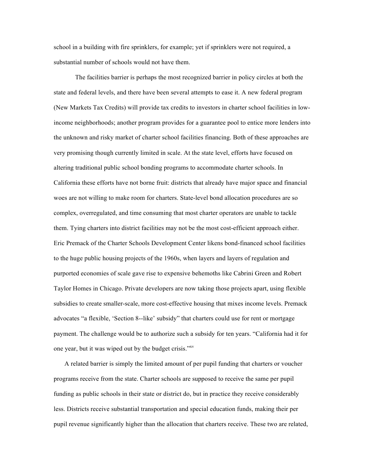school in a building with fire sprinklers, for example; yet if sprinklers were not required, a substantial number of schools would not have them.

The facilities barrier is perhaps the most recognized barrier in policy circles at both the state and federal levels, and there have been several attempts to ease it. A new federal program (New Markets Tax Credits) will provide tax credits to investors in charter school facilities in lowincome neighborhoods; another program provides for a guarantee pool to entice more lenders into the unknown and risky market of charter school facilities financing. Both of these approaches are very promising though currently limited in scale. At the state level, efforts have focused on altering traditional public school bonding programs to accommodate charter schools. In California these efforts have not borne fruit: districts that already have major space and financial woes are not willing to make room for charters. State-level bond allocation procedures are so complex, overregulated, and time consuming that most charter operators are unable to tackle them. Tying charters into district facilities may not be the most cost-efficient approach either. Eric Premack of the Charter Schools Development Center likens bond-financed school facilities to the huge public housing projects of the 1960s, when layers and layers of regulation and purported economies of scale gave rise to expensive behemoths like Cabrini Green and Robert Taylor Homes in Chicago. Private developers are now taking those projects apart, using flexible subsidies to create smaller-scale, more cost-effective housing that mixes income levels. Premack advocates "a flexible, 'Section 8--like' subsidy" that charters could use for rent or mortgage payment. The challenge would be to authorize such a subsidy for ten years. "California had it for one year, but it was wiped out by the budget crisis."<sup>xv</sup>

A related barrier is simply the limited amount of per pupil funding that charters or voucher programs receive from the state. Charter schools are supposed to receive the same per pupil funding as public schools in their state or district do, but in practice they receive considerably less. Districts receive substantial transportation and special education funds, making their per pupil revenue significantly higher than the allocation that charters receive. These two are related,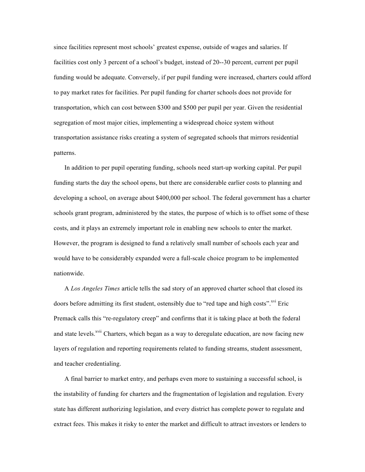since facilities represent most schools' greatest expense, outside of wages and salaries. If facilities cost only 3 percent of a school's budget, instead of 20--30 percent, current per pupil funding would be adequate. Conversely, if per pupil funding were increased, charters could afford to pay market rates for facilities. Per pupil funding for charter schools does not provide for transportation, which can cost between \$300 and \$500 per pupil per year. Given the residential segregation of most major cities, implementing a widespread choice system without transportation assistance risks creating a system of segregated schools that mirrors residential patterns.

In addition to per pupil operating funding, schools need start-up working capital. Per pupil funding starts the day the school opens, but there are considerable earlier costs to planning and developing a school, on average about \$400,000 per school. The federal government has a charter schools grant program, administered by the states, the purpose of which is to offset some of these costs, and it plays an extremely important role in enabling new schools to enter the market. However, the program is designed to fund a relatively small number of schools each year and would have to be considerably expanded were a full-scale choice program to be implemented nationwide.

A *Los Angeles Times* article tells the sad story of an approved charter school that closed its doors before admitting its first student, ostensibly due to "red tape and high costs". XVI Eric Premack calls this "re-regulatory creep" and confirms that it is taking place at both the federal and state levels.<sup>xvii</sup> Charters, which began as a way to deregulate education, are now facing new layers of regulation and reporting requirements related to funding streams, student assessment, and teacher credentialing.

A final barrier to market entry, and perhaps even more to sustaining a successful school, is the instability of funding for charters and the fragmentation of legislation and regulation. Every state has different authorizing legislation, and every district has complete power to regulate and extract fees. This makes it risky to enter the market and difficult to attract investors or lenders to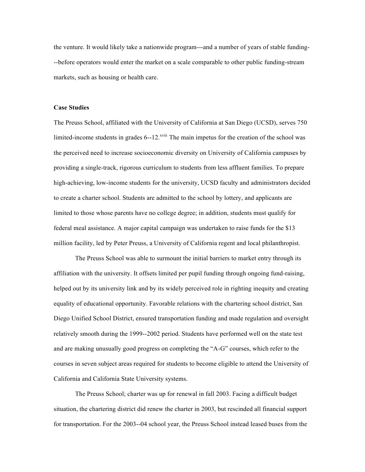the venture. It would likely take a nationwide program---and a number of years of stable funding- --before operators would enter the market on a scale comparable to other public funding-stream markets, such as housing or health care.

#### **Case Studies**

The Preuss School, affiliated with the University of California at San Diego (UCSD), serves 750 limited-income students in grades  $6-12$ <sup>xviii</sup> The main impetus for the creation of the school was the perceived need to increase socioeconomic diversity on University of California campuses by providing a single-track, rigorous curriculum to students from less affluent families. To prepare high-achieving, low-income students for the university, UCSD faculty and administrators decided to create a charter school. Students are admitted to the school by lottery, and applicants are limited to those whose parents have no college degree; in addition, students must qualify for federal meal assistance. A major capital campaign was undertaken to raise funds for the \$13 million facility, led by Peter Preuss, a University of California regent and local philanthropist.

The Preuss School was able to surmount the initial barriers to market entry through its affiliation with the university. It offsets limited per pupil funding through ongoing fund-raising, helped out by its university link and by its widely perceived role in righting inequity and creating equality of educational opportunity. Favorable relations with the chartering school district, San Diego Unified School District, ensured transportation funding and made regulation and oversight relatively smooth during the 1999--2002 period. Students have performed well on the state test and are making unusually good progress on completing the "A-G" courses, which refer to the courses in seven subject areas required for students to become eligible to attend the University of California and California State University systems.

The Preuss School; charter was up for renewal in fall 2003. Facing a difficult budget situation, the chartering district did renew the charter in 2003, but rescinded all financial support for transportation. For the 2003--04 school year, the Preuss School instead leased buses from the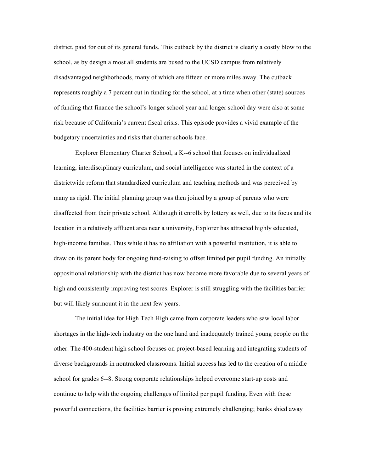district, paid for out of its general funds. This cutback by the district is clearly a costly blow to the school, as by design almost all students are bused to the UCSD campus from relatively disadvantaged neighborhoods, many of which are fifteen or more miles away. The cutback represents roughly a 7 percent cut in funding for the school, at a time when other (state) sources of funding that finance the school's longer school year and longer school day were also at some risk because of California's current fiscal crisis. This episode provides a vivid example of the budgetary uncertainties and risks that charter schools face.

Explorer Elementary Charter School, a K--6 school that focuses on individualized learning, interdisciplinary curriculum, and social intelligence was started in the context of a districtwide reform that standardized curriculum and teaching methods and was perceived by many as rigid. The initial planning group was then joined by a group of parents who were disaffected from their private school. Although it enrolls by lottery as well, due to its focus and its location in a relatively affluent area near a university, Explorer has attracted highly educated, high-income families. Thus while it has no affiliation with a powerful institution, it is able to draw on its parent body for ongoing fund-raising to offset limited per pupil funding. An initially oppositional relationship with the district has now become more favorable due to several years of high and consistently improving test scores. Explorer is still struggling with the facilities barrier but will likely surmount it in the next few years.

The initial idea for High Tech High came from corporate leaders who saw local labor shortages in the high-tech industry on the one hand and inadequately trained young people on the other. The 400-student high school focuses on project-based learning and integrating students of diverse backgrounds in nontracked classrooms. Initial success has led to the creation of a middle school for grades 6--8. Strong corporate relationships helped overcome start-up costs and continue to help with the ongoing challenges of limited per pupil funding. Even with these powerful connections, the facilities barrier is proving extremely challenging; banks shied away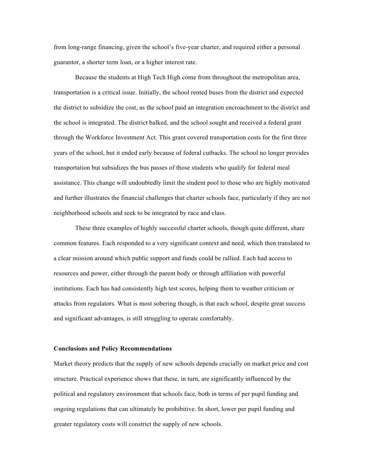from long-range financing, given the school's five-year charter, and required either a personal guarantor, a shorter term loan, or a higher interest rate.

Because the students at High Tech High come from throughout the metropolitan area, transportation is a critical issue. Initially, the school rented buses from the district and expected the district to subsidize the cost, as the school paid an integration encroachment to the district and the school is integrated. The district balked, and the school sought and received a federal grant through the Workforce Investment Act. This grant covered transportation costs for the first three years of the school, but it ended early because of federal cutbacks. The school no longer provides transportation but subsidizes the bus passes of those students who qualify for federal meal assistance. This change will undoubtedly limit the student pool to those who are highly motivated and further illustrates the financial challenges that charter schools face, particularly if they are not neighborhood schools and seek to be integrated by race and class.

These three examples of highly successful charter schools, though quite different, share common features. Each responded to a very significant context and need, which then translated to a clear mission around which public support and funds could be rallied. Each had access to resources and power, either through the parent body or through affiliation with powerful institutions. Each has had consistently high test scores, helping them to weather criticism or attacks from regulators. What is most sobering though, is that each school, despite great success and significant advantages, is still struggling to operate comfortably.

## **Conclusions and Policy Recommendations**

Market theory predicts that the supply of new schools depends crucially on market price and cost structure. Practical experience shows that these, in turn, are significantly influenced by the political and regulatory environment that schools face, both in terms of per pupil funding and ongoing regulations that can ultimately be prohibitive. In short, lower per pupil funding and greater regulatory costs will constrict the supply of new schools.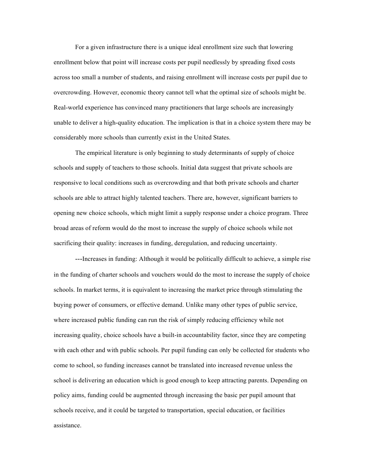For a given infrastructure there is a unique ideal enrollment size such that lowering enrollment below that point will increase costs per pupil needlessly by spreading fixed costs across too small a number of students, and raising enrollment will increase costs per pupil due to overcrowding. However, economic theory cannot tell what the optimal size of schools might be. Real-world experience has convinced many practitioners that large schools are increasingly unable to deliver a high-quality education. The implication is that in a choice system there may be considerably more schools than currently exist in the United States.

The empirical literature is only beginning to study determinants of supply of choice schools and supply of teachers to those schools. Initial data suggest that private schools are responsive to local conditions such as overcrowding and that both private schools and charter schools are able to attract highly talented teachers. There are, however, significant barriers to opening new choice schools, which might limit a supply response under a choice program. Three broad areas of reform would do the most to increase the supply of choice schools while not sacrificing their quality: increases in funding, deregulation, and reducing uncertainty.

---Increases in funding: Although it would be politically difficult to achieve, a simple rise in the funding of charter schools and vouchers would do the most to increase the supply of choice schools. In market terms, it is equivalent to increasing the market price through stimulating the buying power of consumers, or effective demand. Unlike many other types of public service, where increased public funding can run the risk of simply reducing efficiency while not increasing quality, choice schools have a built-in accountability factor, since they are competing with each other and with public schools. Per pupil funding can only be collected for students who come to school, so funding increases cannot be translated into increased revenue unless the school is delivering an education which is good enough to keep attracting parents. Depending on policy aims, funding could be augmented through increasing the basic per pupil amount that schools receive, and it could be targeted to transportation, special education, or facilities assistance.